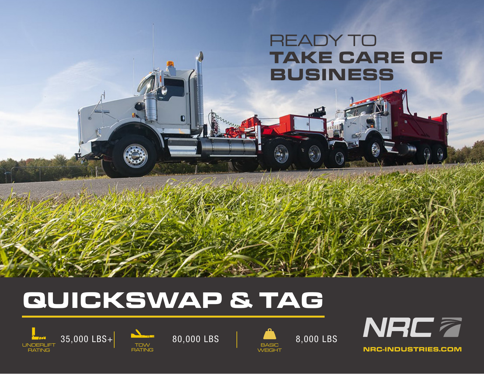## READY TO **TAKE CARE OF BUSINESS**

# **QUICKSWAP & TAG**







NRC7 RATING **NRC-INDUSTRIES.COM**